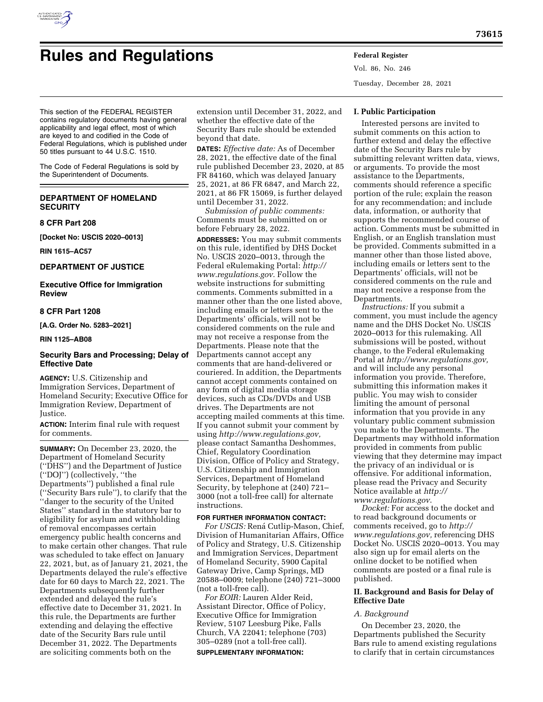

# **Rules and Regulations Federal Register**

Vol. 86, No. 246 Tuesday, December 28, 2021

This section of the FEDERAL REGISTER contains regulatory documents having general applicability and legal effect, most of which are keyed to and codified in the Code of Federal Regulations, which is published under 50 titles pursuant to 44 U.S.C. 1510.

The Code of Federal Regulations is sold by the Superintendent of Documents.

# **DEPARTMENT OF HOMELAND SECURITY**

**8 CFR Part 208** 

**[Docket No: USCIS 2020–0013]** 

**RIN 1615–AC57** 

**DEPARTMENT OF JUSTICE** 

**Executive Office for Immigration Review** 

## **8 CFR Part 1208**

**[A.G. Order No. 5283–2021]** 

## **RIN 1125–AB08**

## **Security Bars and Processing; Delay of Effective Date**

**AGENCY:** U.S. Citizenship and Immigration Services, Department of Homeland Security; Executive Office for Immigration Review, Department of Justice.

**ACTION:** Interim final rule with request for comments.

**SUMMARY:** On December 23, 2020, the Department of Homeland Security (''DHS'') and the Department of Justice (''DOJ'') (collectively, ''the Departments'') published a final rule (''Security Bars rule''), to clarify that the ''danger to the security of the United States'' standard in the statutory bar to eligibility for asylum and withholding of removal encompasses certain emergency public health concerns and to make certain other changes. That rule was scheduled to take effect on January 22, 2021, but, as of January 21, 2021, the Departments delayed the rule's effective date for 60 days to March 22, 2021. The Departments subsequently further extended and delayed the rule's effective date to December 31, 2021. In this rule, the Departments are further extending and delaying the effective date of the Security Bars rule until December 31, 2022. The Departments are soliciting comments both on the

extension until December 31, 2022, and whether the effective date of the Security Bars rule should be extended beyond that date.

**DATES:** *Effective date:* As of December 28, 2021, the effective date of the final rule published December 23, 2020, at 85 FR 84160, which was delayed January 25, 2021, at 86 FR 6847, and March 22, 2021, at 86 FR 15069, is further delayed until December 31, 2022.

*Submission of public comments:*  Comments must be submitted on or before February 28, 2022.

**ADDRESSES:** You may submit comments on this rule, identified by DHS Docket No. USCIS 2020–0013, through the Federal eRulemaking Portal: *[http://](http://www.regulations.gov) [www.regulations.gov](http://www.regulations.gov)*. Follow the website instructions for submitting comments. Comments submitted in a manner other than the one listed above, including emails or letters sent to the Departments' officials, will not be considered comments on the rule and may not receive a response from the Departments. Please note that the Departments cannot accept any comments that are hand-delivered or couriered. In addition, the Departments cannot accept comments contained on any form of digital media storage devices, such as CDs/DVDs and USB drives. The Departments are not accepting mailed comments at this time. If you cannot submit your comment by using *[http://www.regulations.gov,](http://www.regulations.gov)*  please contact Samantha Deshommes, Chief, Regulatory Coordination Division, Office of Policy and Strategy, U.S. Citizenship and Immigration Services, Department of Homeland Security, by telephone at (240) 721– 3000 (not a toll-free call) for alternate instructions.

## **FOR FURTHER INFORMATION CONTACT:**

*For USCIS:* Rená Cutlip-Mason, Chief, Division of Humanitarian Affairs, Office of Policy and Strategy, U.S. Citizenship and Immigration Services, Department of Homeland Security, 5900 Capital Gateway Drive, Camp Springs, MD 20588–0009; telephone (240) 721–3000 (not a toll-free call).

*For EOIR:* Lauren Alder Reid, Assistant Director, Office of Policy, Executive Office for Immigration Review, 5107 Leesburg Pike, Falls Church, VA 22041; telephone (703) 305–0289 (not a toll-free call). **SUPPLEMENTARY INFORMATION:** 

#### **I. Public Participation**

Interested persons are invited to submit comments on this action to further extend and delay the effective date of the Security Bars rule by submitting relevant written data, views, or arguments. To provide the most assistance to the Departments, comments should reference a specific portion of the rule; explain the reason for any recommendation; and include data, information, or authority that supports the recommended course of action. Comments must be submitted in English, or an English translation must be provided. Comments submitted in a manner other than those listed above, including emails or letters sent to the Departments' officials, will not be considered comments on the rule and may not receive a response from the Departments.

*Instructions:* If you submit a comment, you must include the agency name and the DHS Docket No. USCIS 2020–0013 for this rulemaking. All submissions will be posted, without change, to the Federal eRulemaking Portal at *[http://www.regulations.gov,](http://www.regulations.gov)*  and will include any personal information you provide. Therefore, submitting this information makes it public. You may wish to consider limiting the amount of personal information that you provide in any voluntary public comment submission you make to the Departments. The Departments may withhold information provided in comments from public viewing that they determine may impact the privacy of an individual or is offensive. For additional information, please read the Privacy and Security Notice available at *[http://](http://www.regulations.gov) [www.regulations.gov](http://www.regulations.gov)*.

*Docket:* For access to the docket and to read background documents or comments received, go to *[http://](http://www.regulations.gov) [www.regulations.gov,](http://www.regulations.gov)* referencing DHS Docket No. USCIS 2020–0013. You may also sign up for email alerts on the online docket to be notified when comments are posted or a final rule is published.

## **II. Background and Basis for Delay of Effective Date**

#### *A. Background*

On December 23, 2020, the Departments published the Security Bars rule to amend existing regulations to clarify that in certain circumstances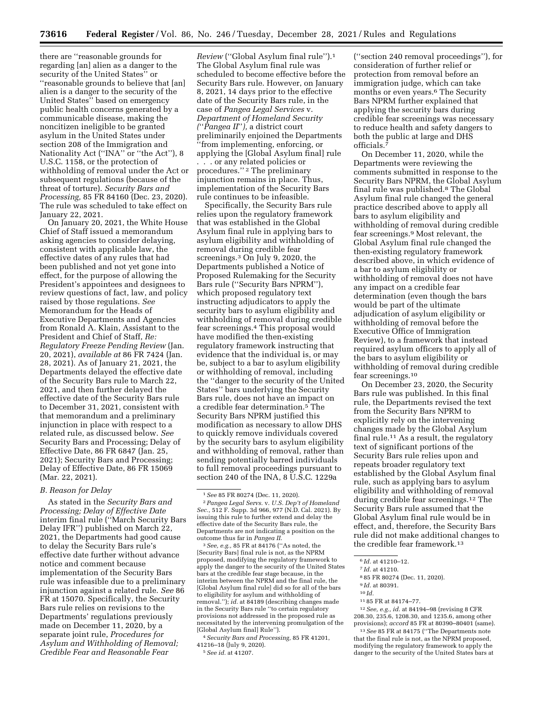there are ''reasonable grounds for regarding [an] alien as a danger to the security of the United States'' or ''reasonable grounds to believe that [an] alien is a danger to the security of the United States'' based on emergency public health concerns generated by a communicable disease, making the noncitizen ineligible to be granted asylum in the United States under section 208 of the Immigration and Nationality Act (''INA'' or ''the Act''), 8 U.S.C. 1158, or the protection of withholding of removal under the Act or subsequent regulations (because of the threat of torture). *Security Bars and Processing,* 85 FR 84160 (Dec. 23, 2020). The rule was scheduled to take effect on January 22, 2021.

On January 20, 2021, the White House Chief of Staff issued a memorandum asking agencies to consider delaying, consistent with applicable law, the effective dates of any rules that had been published and not yet gone into effect, for the purpose of allowing the President's appointees and designees to review questions of fact, law, and policy raised by those regulations. *See*  Memorandum for the Heads of Executive Departments and Agencies from Ronald A. Klain, Assistant to the President and Chief of Staff, *Re: Regulatory Freeze Pending Review* (Jan. 20, 2021), *available at* 86 FR 7424 (Jan. 28, 2021). As of January 21, 2021, the Departments delayed the effective date of the Security Bars rule to March 22, 2021, and then further delayed the effective date of the Security Bars rule to December 31, 2021, consistent with that memorandum and a preliminary injunction in place with respect to a related rule, as discussed below. *See*  Security Bars and Processing; Delay of Effective Date, 86 FR 6847 (Jan. 25, 2021); Security Bars and Processing; Delay of Effective Date, 86 FR 15069 (Mar. 22, 2021).

#### *B. Reason for Delay*

As stated in the *Security Bars and Processing; Delay of Effective Date*  interim final rule (''March Security Bars Delay IFR'') published on March 22, 2021, the Departments had good cause to delay the Security Bars rule's effective date further without advance notice and comment because implementation of the Security Bars rule was infeasible due to a preliminary injunction against a related rule. *See* 86 FR at 15070. Specifically, the Security Bars rule relies on revisions to the Departments' regulations previously made on December 11, 2020, by a separate joint rule, *Procedures for Asylum and Withholding of Removal; Credible Fear and Reasonable Fear* 

*Review* (''Global Asylum final rule'').1 The Global Asylum final rule was scheduled to become effective before the Security Bars rule. However, on January 8, 2021, 14 days prior to the effective date of the Security Bars rule, in the case of *Pangea Legal Services* v. *Department of Homeland Security (*''*Pangea II*''*),* a district court preliminarily enjoined the Departments ''from implementing, enforcing, or applying the [Global Asylum final] rule . . . or any related policies or procedures.'' 2 The preliminary injunction remains in place. Thus, implementation of the Security Bars rule continues to be infeasible.

Specifically, the Security Bars rule relies upon the regulatory framework that was established in the Global Asylum final rule in applying bars to asylum eligibility and withholding of removal during credible fear screenings.3 On July 9, 2020, the Departments published a Notice of Proposed Rulemaking for the Security Bars rule (''Security Bars NPRM''), which proposed regulatory text instructing adjudicators to apply the security bars to asylum eligibility and withholding of removal during credible fear screenings.4 This proposal would have modified the then-existing regulatory framework instructing that evidence that the individual is, or may be, subject to a bar to asylum eligibility or withholding of removal, including the ''danger to the security of the United States'' bars underlying the Security Bars rule, does not have an impact on a credible fear determination.5 The Security Bars NPRM justified this modification as necessary to allow DHS to quickly remove individuals covered by the security bars to asylum eligibility and withholding of removal, rather than sending potentially barred individuals to full removal proceedings pursuant to section 240 of the INA,  $8\overline{U}$ .S.C. 1229a

3*See, e.g.,* 85 FR at 84176 (''As noted, the [Security Bars] final rule is not, as the NPRM proposed, modifying the regulatory framework to apply the danger to the security of the United States bars at the credible fear stage because, in the interim between the NPRM and the final rule, the [Global Asylum final rule] did so for all of the bars to eligibility for asylum and withholding of removal.''); *id.* at 84189 (describing changes made in the Security Bars rule ''to certain regulatory provisions not addressed in the proposed rule as necessitated by the intervening promulgation of the [Global Asylum final] Rule'').

4*Security Bars and Processing,* 85 FR 41201, 41216–18 (July 9, 2020). 5*See id.* at 41207.

(''section 240 removal proceedings''), for consideration of further relief or protection from removal before an immigration judge, which can take months or even years.6 The Security Bars NPRM further explained that applying the security bars during credible fear screenings was necessary to reduce health and safety dangers to both the public at large and DHS officials.7

On December 11, 2020, while the Departments were reviewing the comments submitted in response to the Security Bars NPRM, the Global Asylum final rule was published.8 The Global Asylum final rule changed the general practice described above to apply all bars to asylum eligibility and withholding of removal during credible fear screenings.9 Most relevant, the Global Asylum final rule changed the then-existing regulatory framework described above, in which evidence of a bar to asylum eligibility or withholding of removal does not have any impact on a credible fear determination (even though the bars would be part of the ultimate adjudication of asylum eligibility or withholding of removal before the Executive Office of Immigration Review), to a framework that instead required asylum officers to apply all of the bars to asylum eligibility or withholding of removal during credible fear screenings.10

On December 23, 2020, the Security Bars rule was published. In this final rule, the Departments revised the text from the Security Bars NPRM to explicitly rely on the intervening changes made by the Global Asylum final rule.11 As a result, the regulatory text of significant portions of the Security Bars rule relies upon and repeats broader regulatory text established by the Global Asylum final rule, such as applying bars to asylum eligibility and withholding of removal during credible fear screenings.12 The Security Bars rule assumed that the Global Asylum final rule would be in effect, and, therefore, the Security Bars rule did not make additional changes to the credible fear framework.13

11 85 FR at 84174–77.

12*See, e.g., id.* at 84194–98 (revising 8 CFR 208.30, 235.6, 1208.30, and 1235.6, among other provisions); *accord* 85 FR at 80390–80401 (same).

13*See* 85 FR at 84175 (''The Departments note that the final rule is not, as the NPRM proposed, modifying the regulatory framework to apply the danger to the security of the United States bars at

<sup>1</sup>*See* 85 FR 80274 (Dec. 11, 2020).

<sup>2</sup>*Pangea Legal Servs.* v. *U.S. Dep't of Homeland Sec.,* 512 F. Supp. 3d 966, 977 (N.D. Cal. 2021). By issuing this rule to further extend and delay the effective date of the Security Bars rule, the Departments are not indicating a position on the outcome thus far in *Pangea II*.

<sup>6</sup> *Id.* at 41210–12.

<sup>7</sup> *Id.* at 41210.

<sup>8</sup> 85 FR 80274 (Dec. 11, 2020).

<sup>9</sup> *Id.* at 80391.

<sup>10</sup> *Id.*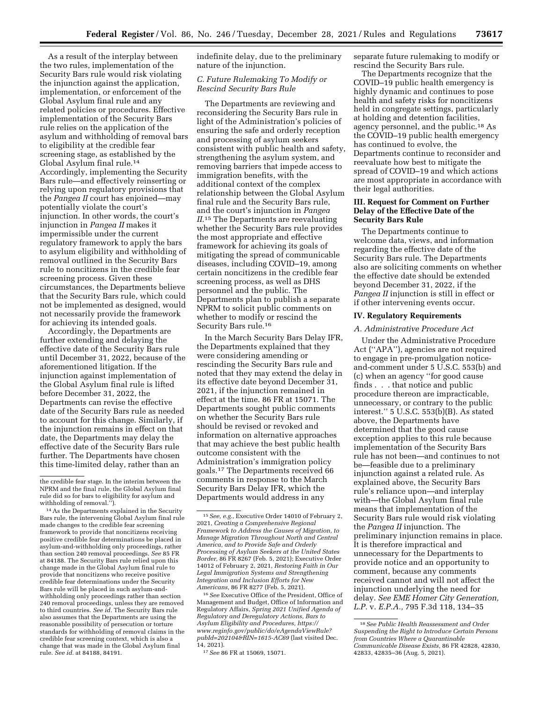As a result of the interplay between the two rules, implementation of the Security Bars rule would risk violating the injunction against the application, implementation, or enforcement of the Global Asylum final rule and any related policies or procedures. Effective implementation of the Security Bars rule relies on the application of the asylum and withholding of removal bars to eligibility at the credible fear screening stage, as established by the Global Asylum final rule.14 Accordingly, implementing the Security Bars rule—and effectively reinserting or relying upon regulatory provisions that the *Pangea II* court has enjoined—may potentially violate the court's injunction. In other words, the court's injunction in *Pangea II* makes it impermissible under the current regulatory framework to apply the bars to asylum eligibility and withholding of removal outlined in the Security Bars rule to noncitizens in the credible fear screening process. Given these circumstances, the Departments believe that the Security Bars rule, which could not be implemented as designed, would not necessarily provide the framework for achieving its intended goals.

Accordingly, the Departments are further extending and delaying the effective date of the Security Bars rule until December 31, 2022, because of the aforementioned litigation. If the injunction against implementation of the Global Asylum final rule is lifted before December 31, 2022, the Departments can revise the effective date of the Security Bars rule as needed to account for this change. Similarly, if the injunction remains in effect on that date, the Departments may delay the effective date of the Security Bars rule further. The Departments have chosen this time-limited delay, rather than an

indefinite delay, due to the preliminary nature of the injunction.

## *C. Future Rulemaking To Modify or Rescind Security Bars Rule*

The Departments are reviewing and reconsidering the Security Bars rule in light of the Administration's policies of ensuring the safe and orderly reception and processing of asylum seekers consistent with public health and safety, strengthening the asylum system, and removing barriers that impede access to immigration benefits, with the additional context of the complex relationship between the Global Asylum final rule and the Security Bars rule, and the court's injunction in *Pangea II*.15 The Departments are reevaluating whether the Security Bars rule provides the most appropriate and effective framework for achieving its goals of mitigating the spread of communicable diseases, including COVID–19, among certain noncitizens in the credible fear screening process, as well as DHS personnel and the public. The Departments plan to publish a separate NPRM to solicit public comments on whether to modify or rescind the Security Bars rule.16

In the March Security Bars Delay IFR, the Departments explained that they were considering amending or rescinding the Security Bars rule and noted that they may extend the delay in its effective date beyond December 31, 2021, if the injunction remained in effect at the time. 86 FR at 15071. The Departments sought public comments on whether the Security Bars rule should be revised or revoked and information on alternative approaches that may achieve the best public health outcome consistent with the Administration's immigration policy goals.17 The Departments received 66 comments in response to the March Security Bars Delay IFR, which the Departments would address in any

16*See* Executive Office of the President, Office of Management and Budget, Office of Information and Regulatory Affairs, *Spring 2021 Unified Agenda of Regulatory and Deregulatory Actions, Bars to Asylum Eligibility and Procedures, [https://](https://www.reginfo.gov/public/do/eAgendaViewRule?pubId=202104&RIN=1615-AC69) [www.reginfo.gov/public/do/eAgendaViewRule?](https://www.reginfo.gov/public/do/eAgendaViewRule?pubId=202104&RIN=1615-AC69) [pubId=202104&RIN=1615-AC69](https://www.reginfo.gov/public/do/eAgendaViewRule?pubId=202104&RIN=1615-AC69)* (last visited Dec. 14, 2021).

separate future rulemaking to modify or rescind the Security Bars rule.

The Departments recognize that the COVID–19 public health emergency is highly dynamic and continues to pose health and safety risks for noncitizens held in congregate settings, particularly at holding and detention facilities, agency personnel, and the public.18 As the COVID–19 public health emergency has continued to evolve, the Departments continue to reconsider and reevaluate how best to mitigate the spread of COVID–19 and which actions are most appropriate in accordance with their legal authorities.

#### **III. Request for Comment on Further Delay of the Effective Date of the Security Bars Rule**

The Departments continue to welcome data, views, and information regarding the effective date of the Security Bars rule. The Departments also are soliciting comments on whether the effective date should be extended beyond December 31, 2022, if the *Pangea II* injunction is still in effect or if other intervening events occur.

## **IV. Regulatory Requirements**

#### *A. Administrative Procedure Act*

Under the Administrative Procedure Act (''APA''), agencies are not required to engage in pre-promulgation noticeand-comment under 5 U.S.C. 553(b) and (c) when an agency ''for good cause finds . . . that notice and public procedure thereon are impracticable, unnecessary, or contrary to the public interest.'' 5 U.S.C. 553(b)(B). As stated above, the Departments have determined that the good cause exception applies to this rule because implementation of the Security Bars rule has not been—and continues to not be—feasible due to a preliminary injunction against a related rule. As explained above, the Security Bars rule's reliance upon—and interplay with—the Global Asylum final rule means that implementation of the Security Bars rule would risk violating the *Pangea II* injunction. The preliminary injunction remains in place. It is therefore impractical and unnecessary for the Departments to provide notice and an opportunity to comment, because any comments received cannot and will not affect the injunction underlying the need for delay. *See EME Homer City Generation, L.P.* v. *E.P.A.,* 795 F.3d 118, 134–35

the credible fear stage. In the interim between the NPRM and the final rule, the Global Asylum final rule did so for bars to eligibility for asylum and withholding of removal.'').

<sup>14</sup>As the Departments explained in the Security Bars rule, the intervening Global Asylum final rule made changes to the credible fear screening framework to provide that noncitizens receiving positive credible fear determinations be placed in asylum-and-withholding only proceedings, rather than section 240 removal proceedings. *See* 85 FR at 84188. The Security Bars rule relied upon this change made in the Global Asylum final rule to provide that noncitizens who receive positive credible fear determinations under the Security Bars rule will be placed in such asylum-andwithholding only proceedings rather than section 240 removal proceedings, unless they are removed to third countries. *See id.* The Security Bars rule also assumes that the Departments are using the reasonable possibility of persecution or torture standards for withholding of removal claims in the credible fear screening context, which is also a change that was made in the Global Asylum final rule. *See id.* at 84188, 84191.

<sup>15</sup>*See, e.g.,* Executive Order 14010 of February 2, 2021, *Creating a Comprehensive Regional Framework to Address the Causes of Migration, to Manage Migration Throughout North and Central America, and to Provide Safe and Orderly Processing of Asylum Seekers at the United States Border,* 86 FR 8267 (Feb. 5, 2021); Executive Order 14012 of February 2, 2021, *Restoring Faith in Our Legal Immigration Systems and Strengthening Integration and Inclusion Efforts for New Americans,* 86 FR 8277 (Feb. 5, 2021).

<sup>17</sup>*See* 86 FR at 15069, 15071.

<sup>18</sup>*See Public Health Reassessment and Order Suspending the Right to Introduce Certain Persons from Countries Where a Quarantinable Communicable Disease Exists,* 86 FR 42828, 42830, 42833, 42835–36 (Aug. 5, 2021).